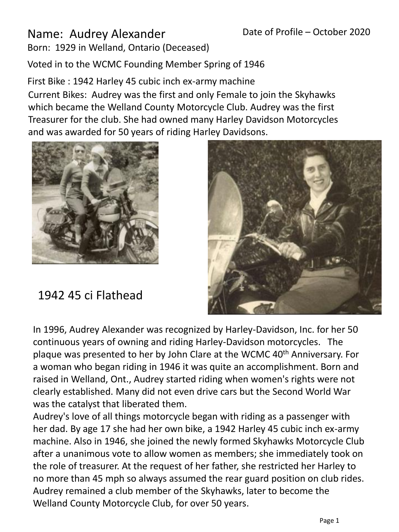## Name: Audrey Alexander

Born: 1929 in Welland, Ontario (Deceased)

Voted in to the WCMC Founding Member Spring of 1946

First Bike : 1942 Harley 45 cubic inch ex-army machine Current Bikes: Audrey was the first and only Female to join the Skyhawks which became the Welland County Motorcycle Club. Audrey was the first Treasurer for the club. She had owned many Harley Davidson Motorcycles and was awarded for 50 years of riding Harley Davidsons.



1942 45 ci Flathead



In 1996, Audrey Alexander was recognized by Harley-Davidson, Inc. for her 50 continuous years of owning and riding Harley-Davidson motorcycles. The plaque was presented to her by John Clare at the WCMC 40<sup>th</sup> Anniversary. For a woman who began riding in 1946 it was quite an accomplishment. Born and raised in Welland, Ont., Audrey started riding when women's rights were not clearly established. Many did not even drive cars but the Second World War was the catalyst that liberated them.

Audrey's love of all things motorcycle began with riding as a passenger with her dad. By age 17 she had her own bike, a 1942 Harley 45 cubic inch ex-army machine. Also in 1946, she joined the newly formed Skyhawks Motorcycle Club after a unanimous vote to allow women as members; she immediately took on the role of treasurer. At the request of her father, she restricted her Harley to no more than 45 mph so always assumed the rear guard position on club rides. Audrey remained a club member of the Skyhawks, later to become the Welland County Motorcycle Club, for over 50 years.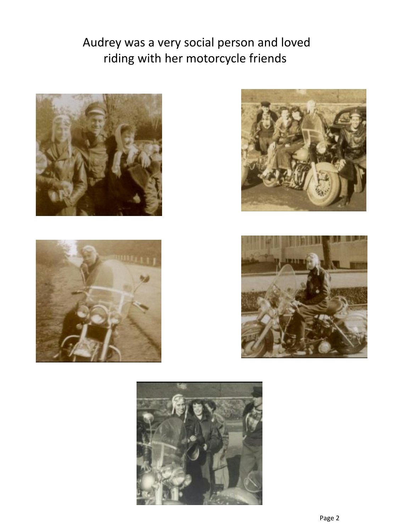## Audrey was a very social person and loved riding with her motorcycle friends









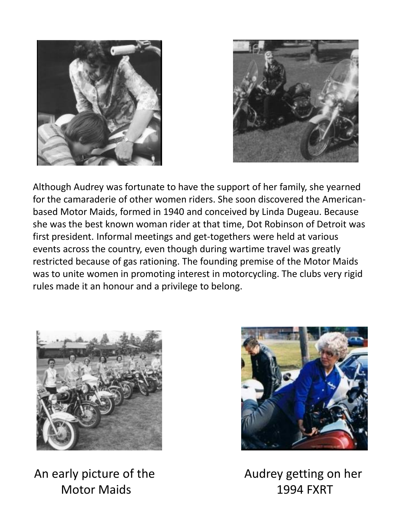



Although Audrey was fortunate to have the support of her family, she yearned for the camaraderie of other women riders. She soon discovered the Americanbased Motor Maids, formed in 1940 and conceived by Linda Dugeau. Because she was the best known woman rider at that time, Dot Robinson of Detroit was first president. Informal meetings and get-togethers were held at various events across the country, even though during wartime travel was greatly restricted because of gas rationing. The founding premise of the Motor Maids was to unite women in promoting interest in motorcycling. The clubs very rigid rules made it an honour and a privilege to belong.



An early picture of the Motor Maids



Audrey getting on her 1994 FXRT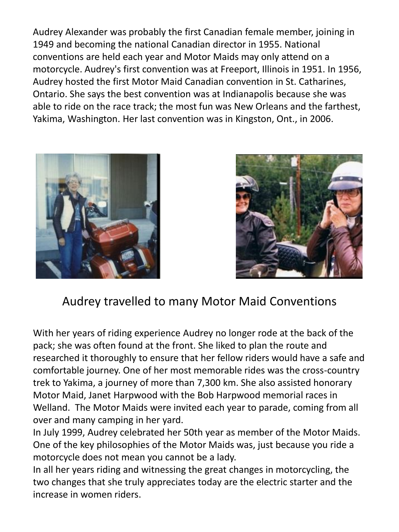Audrey Alexander was probably the first Canadian female member, joining in 1949 and becoming the national Canadian director in 1955. National conventions are held each year and Motor Maids may only attend on a motorcycle. Audrey's first convention was at Freeport, Illinois in 1951. In 1956, Audrey hosted the first Motor Maid Canadian convention in St. Catharines, Ontario. She says the best convention was at Indianapolis because she was able to ride on the race track; the most fun was New Orleans and the farthest, Yakima, Washington. Her last convention was in Kingston, Ont., in 2006.





## Audrey travelled to many Motor Maid Conventions

With her years of riding experience Audrey no longer rode at the back of the pack; she was often found at the front. She liked to plan the route and researched it thoroughly to ensure that her fellow riders would have a safe and comfortable journey. One of her most memorable rides was the cross-country trek to Yakima, a journey of more than 7,300 km. She also assisted honorary Motor Maid, Janet Harpwood with the Bob Harpwood memorial races in Welland. The Motor Maids were invited each year to parade, coming from all over and many camping in her yard.

In July 1999, Audrey celebrated her 50th year as member of the Motor Maids. One of the key philosophies of the Motor Maids was, just because you ride a motorcycle does not mean you cannot be a lady.

In all her years riding and witnessing the great changes in motorcycling, the two changes that she truly appreciates today are the electric starter and the increase in women riders.